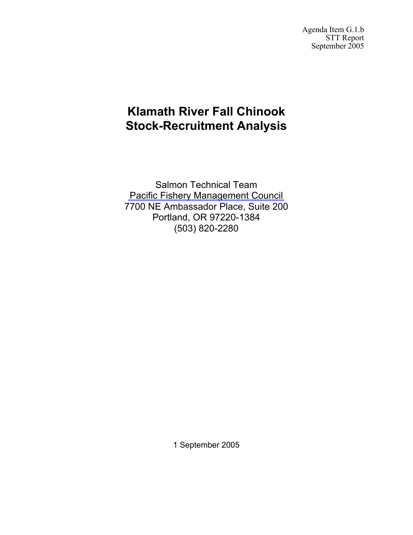Agenda Item G.1.b STT Report September 2005

## **Klamath River Fall Chinook Stock-Recruitment Analysis**

Salmon Technical Team [Pacific Fishery Management Council](http://www.pcouncil.org) 7700 NE Ambassador Place, Suite 200 Portland, OR 97220-1384 (503) 820-2280

1 September 2005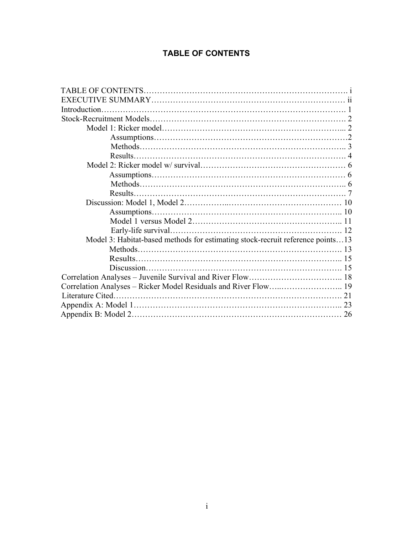## **TABLE OF CONTENTS**

| Introduction.                                                                  |  |
|--------------------------------------------------------------------------------|--|
|                                                                                |  |
|                                                                                |  |
|                                                                                |  |
|                                                                                |  |
|                                                                                |  |
|                                                                                |  |
|                                                                                |  |
|                                                                                |  |
|                                                                                |  |
|                                                                                |  |
|                                                                                |  |
|                                                                                |  |
|                                                                                |  |
| Model 3: Habitat-based methods for estimating stock-recruit reference points13 |  |
|                                                                                |  |
|                                                                                |  |
|                                                                                |  |
|                                                                                |  |
|                                                                                |  |
|                                                                                |  |
|                                                                                |  |
|                                                                                |  |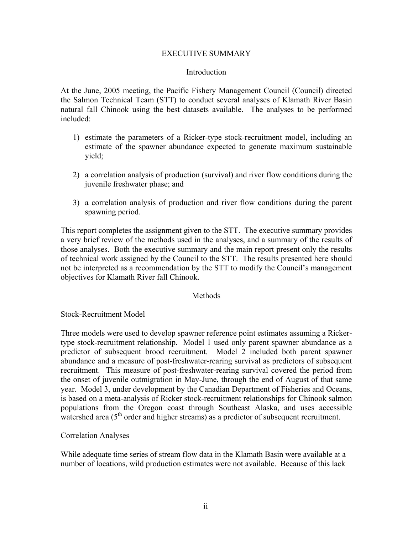#### EXECUTIVE SUMMARY

#### Introduction

At the June, 2005 meeting, the Pacific Fishery Management Council (Council) directed the Salmon Technical Team (STT) to conduct several analyses of Klamath River Basin natural fall Chinook using the best datasets available. The analyses to be performed included:

- 1) estimate the parameters of a Ricker-type stock-recruitment model, including an estimate of the spawner abundance expected to generate maximum sustainable yield;
- 2) a correlation analysis of production (survival) and river flow conditions during the juvenile freshwater phase; and
- 3) a correlation analysis of production and river flow conditions during the parent spawning period.

This report completes the assignment given to the STT. The executive summary provides a very brief review of the methods used in the analyses, and a summary of the results of those analyses. Both the executive summary and the main report present only the results of technical work assigned by the Council to the STT. The results presented here should not be interpreted as a recommendation by the STT to modify the Council's management objectives for Klamath River fall Chinook.

#### Methods

#### Stock-Recruitment Model

Three models were used to develop spawner reference point estimates assuming a Rickertype stock-recruitment relationship. Model 1 used only parent spawner abundance as a predictor of subsequent brood recruitment. Model 2 included both parent spawner abundance and a measure of post-freshwater-rearing survival as predictors of subsequent recruitment. This measure of post-freshwater-rearing survival covered the period from the onset of juvenile outmigration in May-June, through the end of August of that same year. Model 3, under development by the Canadian Department of Fisheries and Oceans, is based on a meta-analysis of Ricker stock-recruitment relationships for Chinook salmon populations from the Oregon coast through Southeast Alaska, and uses accessible watershed area  $(5<sup>th</sup>$  order and higher streams) as a predictor of subsequent recruitment.

#### Correlation Analyses

While adequate time series of stream flow data in the Klamath Basin were available at a number of locations, wild production estimates were not available. Because of this lack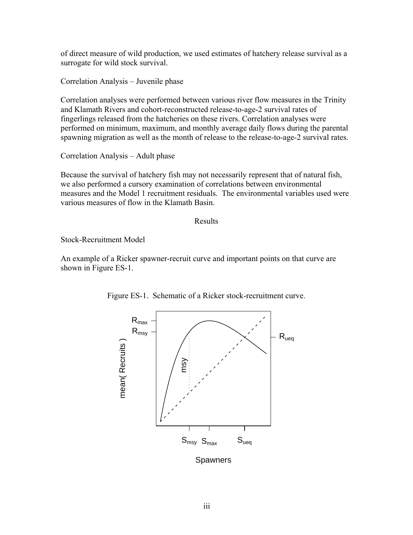of direct measure of wild production, we used estimates of hatchery release survival as a surrogate for wild stock survival.

Correlation Analysis – Juvenile phase

Correlation analyses were performed between various river flow measures in the Trinity and Klamath Rivers and cohort-reconstructed release-to-age-2 survival rates of fingerlings released from the hatcheries on these rivers. Correlation analyses were performed on minimum, maximum, and monthly average daily flows during the parental spawning migration as well as the month of release to the release-to-age-2 survival rates.

Correlation Analysis – Adult phase

Because the survival of hatchery fish may not necessarily represent that of natural fish, we also performed a cursory examination of correlations between environmental measures and the Model 1 recruitment residuals. The environmental variables used were various measures of flow in the Klamath Basin.

Results

Stock-Recruitment Model

An example of a Ricker spawner-recruit curve and important points on that curve are shown in Figure ES-1.



Figure ES-1. Schematic of a Ricker stock-recruitment curve.

**Spawners**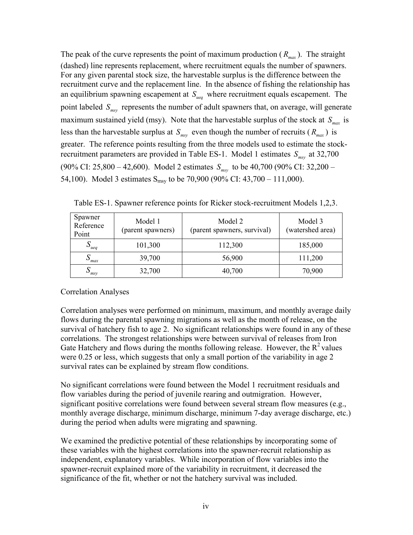The peak of the curve represents the point of maximum production  $(R_{max})$ . The straight (dashed) line represents replacement, where recruitment equals the number of spawners. For any given parental stock size, the harvestable surplus is the difference between the recruitment curve and the replacement line. In the absence of fishing the relationship has an equilibrium spawning escapement at  $S_{ueq}$  where recruitment equals escapement. The point labeled  $S_{\text{msy}}$  represents the number of adult spawners that, on average, will generate maximum sustained yield (msy). Note that the harvestable surplus of the stock at  $S_{max}$  is less than the harvestable surplus at  $S_{msv}$  even though the number of recruits ( $R_{max}$ ) is greater. The reference points resulting from the three models used to estimate the stockrecruitment parameters are provided in Table ES-1. Model 1 estimates  $S_{\text{msv}}$  at 32,700  $(90\% \text{ CI: } 25,800 - 42,600)$ . Model 2 estimates  $S_{\text{msy}}$  to be 40,700 (90% CI: 32,200 – 54,100). Model 3 estimates  $S_{msy}$  to be 70,900 (90% CI: 43,700 – 111,000).

| Spawner<br>Reference<br>Point | Model 1<br>(parent spawners) | Model 2<br>(parent spawners, survival) | Model 3<br>(watershed area) |
|-------------------------------|------------------------------|----------------------------------------|-----------------------------|
| $D_{ueq}$                     | 101,300                      | 112,300                                | 185,000                     |
| ' max                         | 39,700                       | 56,900                                 | 111,200                     |
| $\mathcal{D}_{msv}$           | 32,700                       | 40,700                                 | 70,900                      |

Table ES-1. Spawner reference points for Ricker stock-recruitment Models 1,2,3.

Correlation Analyses

Correlation analyses were performed on minimum, maximum, and monthly average daily flows during the parental spawning migrations as well as the month of release, on the survival of hatchery fish to age 2. No significant relationships were found in any of these correlations. The strongest relationships were between survival of releases from Iron Gate Hatchery and flows during the months following release. However, the  $R^2$  values were 0.25 or less, which suggests that only a small portion of the variability in age 2 survival rates can be explained by stream flow conditions.

No significant correlations were found between the Model 1 recruitment residuals and flow variables during the period of juvenile rearing and outmigration. However, significant positive correlations were found between several stream flow measures (e.g., monthly average discharge, minimum discharge, minimum 7-day average discharge, etc.) during the period when adults were migrating and spawning.

We examined the predictive potential of these relationships by incorporating some of these variables with the highest correlations into the spawner-recruit relationship as independent, explanatory variables. While incorporation of flow variables into the spawner-recruit explained more of the variability in recruitment, it decreased the significance of the fit, whether or not the hatchery survival was included.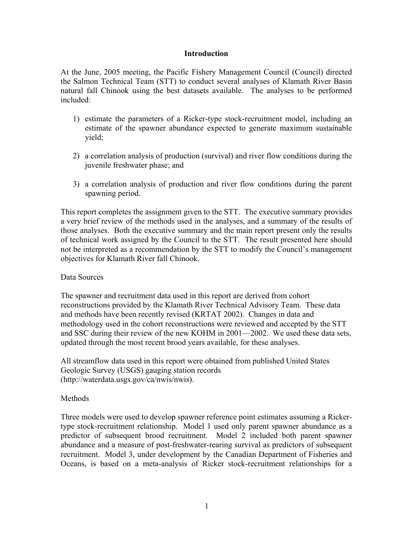#### **Introduction**

At the June, 2005 meeting, the Pacific Fishery Management Council (Council) directed the Salmon Technical Team (STT) to conduct several analyses of Klamath River Basin natural fall Chinook using the best datasets available. The analyses to be performed included:

- 1) estimate the parameters of a Ricker-type stock-recruitment model, including an estimate of the spawner abundance expected to generate maximum sustainable yield;
- 2) a correlation analysis of production (survival) and river flow conditions during the juvenile freshwater phase; and
- 3) a correlation analysis of production and river flow conditions during the parent spawning period.

This report completes the assignment given to the STT. The executive summary provides a very brief review of the methods used in the analyses, and a summary of the results of those analyses. Both the executive summary and the main report present only the results of technical work assigned by the Council to the STT. The result presented here should not be interpreted as a recommendation by the STT to modify the Council's management objectives for Klamath River fall Chinook.

#### Data Sources

The spawner and recruitment data used in this report are derived from cohort reconstructions provided by the Klamath River Technical Advisory Team. These data and methods have been recently revised (KRTAT 2002). Changes in data and methodology used in the cohort reconstructions were reviewed and accepted by the STT and SSC during their review of the new KOHM in 2001—2002. We used these data sets, updated through the most recent brood years available, for these analyses.

All streamflow data used in this report were obtained from published United States Geologic Survey (USGS) gauging station records (http://waterdata.usgs.gov/ca/nwis/nwis).

## **Methods**

Three models were used to develop spawner reference point estimates assuming a Rickertype stock-recruitment relationship. Model 1 used only parent spawner abundance as a predictor of subsequent brood recruitment. Model 2 included both parent spawner abundance and a measure of post-freshwater-rearing survival as predictors of subsequent recruitment. Model 3, under development by the Canadian Department of Fisheries and Oceans, is based on a meta-analysis of Ricker stock-recruitment relationships for a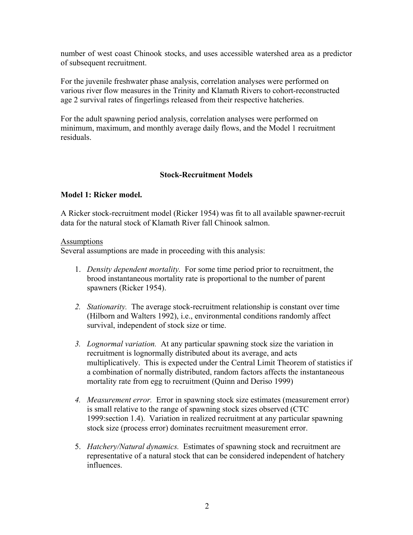number of west coast Chinook stocks, and uses accessible watershed area as a predictor of subsequent recruitment.

For the juvenile freshwater phase analysis, correlation analyses were performed on various river flow measures in the Trinity and Klamath Rivers to cohort-reconstructed age 2 survival rates of fingerlings released from their respective hatcheries.

For the adult spawning period analysis, correlation analyses were performed on minimum, maximum, and monthly average daily flows, and the Model 1 recruitment residuals.

### **Stock-Recruitment Models**

### **Model 1: Ricker model.**

A Ricker stock-recruitment model (Ricker 1954) was fit to all available spawner-recruit data for the natural stock of Klamath River fall Chinook salmon.

#### **Assumptions**

Several assumptions are made in proceeding with this analysis:

- 1. *Density dependent mortality.* For some time period prior to recruitment, the brood instantaneous mortality rate is proportional to the number of parent spawners (Ricker 1954).
- *2. Stationarity.* The average stock-recruitment relationship is constant over time (Hilborn and Walters 1992), i.e., environmental conditions randomly affect survival, independent of stock size or time.
- *3. Lognormal variation.* At any particular spawning stock size the variation in recruitment is lognormally distributed about its average, and acts multiplicatively. This is expected under the Central Limit Theorem of statistics if a combination of normally distributed, random factors affects the instantaneous mortality rate from egg to recruitment (Quinn and Deriso 1999)
- *4. Measurement error.* Error in spawning stock size estimates (measurement error) is small relative to the range of spawning stock sizes observed (CTC 1999:section 1.4). Variation in realized recruitment at any particular spawning stock size (process error) dominates recruitment measurement error.
- 5. *Hatchery/Natural dynamics.* Estimates of spawning stock and recruitment are representative of a natural stock that can be considered independent of hatchery influences.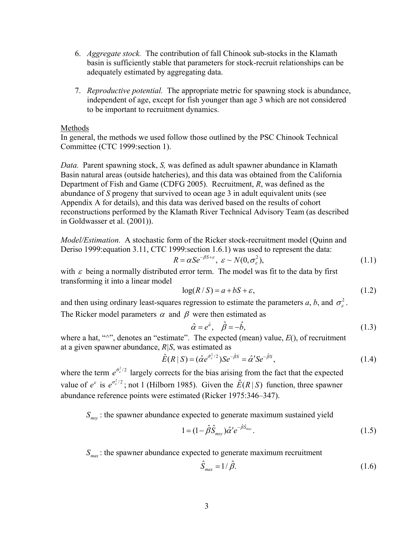- 6. *Aggregate stock.* The contribution of fall Chinook sub-stocks in the Klamath basin is sufficiently stable that parameters for stock-recruit relationships can be adequately estimated by aggregating data.
- 7. *Reproductive potential.* The appropriate metric for spawning stock is abundance, independent of age, except for fish younger than age 3 which are not considered to be important to recruitment dynamics.

#### Methods

In general, the methods we used follow those outlined by the PSC Chinook Technical Committee (CTC 1999:section 1).

*Data.* Parent spawning stock, *S,* was defined as adult spawner abundance in Klamath Basin natural areas (outside hatcheries), and this data was obtained from the California Department of Fish and Game (CDFG 2005). Recruitment, *R*, was defined as the abundance of *S* progeny that survived to ocean age 3 in adult equivalent units (see Appendix A for details), and this data was derived based on the results of cohort reconstructions performed by the Klamath River Technical Advisory Team (as described in Goldwasser et al. (2001)).

*Model/Estimation.* A stochastic form of the Ricker stock-recruitment model (Quinn and Deriso 1999:equation 3.11, CTC 1999:section 1.6.1) was used to represent the data:

$$
R = \alpha S e^{-\beta S + \varepsilon}, \ \varepsilon \sim N(0, \sigma_{\varepsilon}^2), \tag{1.1}
$$

with  $\varepsilon$  being a normally distributed error term. The model was fit to the data by first transforming it into a linear model

$$
log(R/S) = a + bS + \varepsilon,
$$
\n(1.2)

and then using ordinary least-squares regression to estimate the parameters *a*, *b*, and  $\sigma_{\epsilon}^2$ . The Ricker model parameters  $\alpha$  and  $\beta$  were then estimated as

$$
\hat{\alpha} = e^{\hat{a}}, \quad \hat{\beta} = -\hat{b}, \tag{1.3}
$$

where a hat, " $\wedge$ ", denotes an "estimate". The expected (mean) value,  $E($ ), of recruitment at a given spawner abundance, *R|S*, was estimated as

$$
\hat{E}(R \mid S) = (\hat{\alpha}e^{\hat{\sigma}_z^2/2})Se^{-\hat{\beta}S} = \hat{\alpha}'Se^{-\hat{\beta}S},\tag{1.4}
$$

where the term  $e^{\hat{\sigma}_z^2/2}$  largely corrects for the bias arising from the fact that the expected value of  $e^{\epsilon}$  is  $e^{\sigma_e^2/2}$ ; not 1 (Hilborn 1985). Given the  $\hat{E}(R|S)$  function, three spawner abundance reference points were estimated (Ricker 1975:346–347).

 $S_{\text{max}}$ : the spawner abundance expected to generate maximum sustained yield

$$
1 = (1 - \hat{\beta}\hat{S}_{\text{msy}})\hat{\alpha}'e^{-\hat{\beta}\hat{S}_{\text{msy}}}. \tag{1.5}
$$

 $S_{\textit{max}}$  : the spawner abundance expected to generate maximum recruitment

$$
\hat{S}_{\text{max}} = 1/\hat{\beta}.\tag{1.6}
$$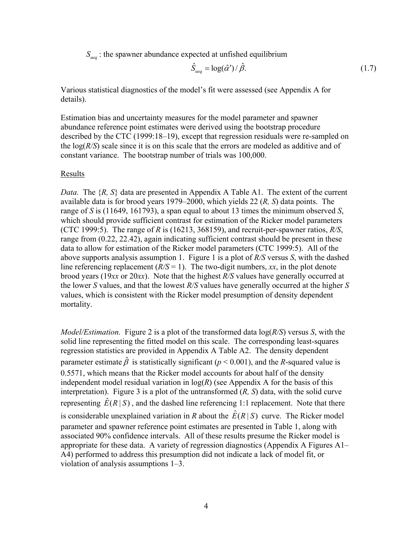$S_{\text{neg}}$ : the spawner abundance expected at unfished equilibrium

$$
\hat{S}_{ueq} = \log(\hat{\alpha}') / \hat{\beta}.
$$
\n(1.7)

Various statistical diagnostics of the model's fit were assessed (see Appendix A for details).

Estimation bias and uncertainty measures for the model parameter and spawner abundance reference point estimates were derived using the bootstrap procedure described by the CTC (1999:18–19), except that regression residuals were re-sampled on the  $log(R/S)$  scale since it is on this scale that the errors are modeled as additive and of constant variance. The bootstrap number of trials was 100,000.

#### Results

*Data.* The  $\{R, S\}$  data are presented in Appendix A Table A1. The extent of the current available data is for brood years 1979–2000, which yields 22 (*R, S*) data points. The range of *S* is (11649, 161793), a span equal to about 13 times the minimum observed *S*, which should provide sufficient contrast for estimation of the Ricker model parameters (CTC 1999:5). The range of *R* is (16213, 368159), and recruit-per-spawner ratios, *R/S*, range from (0.22, 22.42), again indicating sufficient contrast should be present in these data to allow for estimation of the Ricker model parameters (CTC 1999:5). All of the above supports analysis assumption 1. Figure 1 is a plot of *R/S* versus *S*, with the dashed line referencing replacement  $(R/S = 1)$ . The two-digit numbers, *xx*, in the plot denote brood years (19*xx* or 20*xx*). Note that the highest *R/S* values have generally occurred at the lower *S* values, and that the lowest *R/S* values have generally occurred at the higher *S* values, which is consistent with the Ricker model presumption of density dependent mortality.

*Model/Estimation.* Figure 2 is a plot of the transformed data log(*R/S*) versus *S*, with the solid line representing the fitted model on this scale. The corresponding least-squares regression statistics are provided in Appendix A Table A2. The density dependent parameter estimate  $\hat{\beta}$  is statistically significant ( $p < 0.001$ ), and the *R*-squared value is 0.5571, which means that the Ricker model accounts for about half of the density independent model residual variation in  $log(R)$  (see Appendix A for the basis of this interpretation). Figure 3 is a plot of the untransformed (*R, S*) data, with the solid curve representing  $\hat{E}(R | S)$ , and the dashed line referencing 1:1 replacement. Note that there is considerable unexplained variation in *R* about the  $\hat{E}(R | S)$  curve. The Ricker model parameter and spawner reference point estimates are presented in Table 1, along with associated 90% confidence intervals. All of these results presume the Ricker model is appropriate for these data. A variety of regression diagnostics (Appendix A Figures A1– A4) performed to address this presumption did not indicate a lack of model fit, or violation of analysis assumptions 1–3.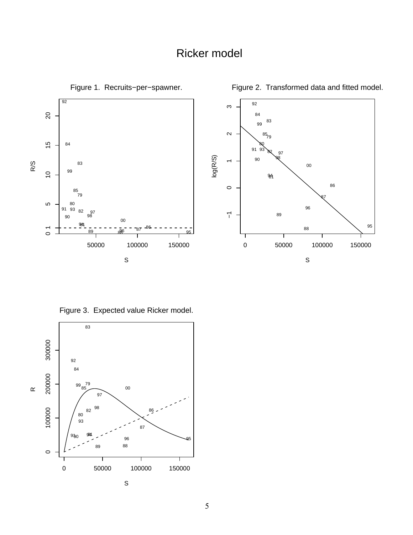## Ricker model



Figure 3. Expected value Ricker model.

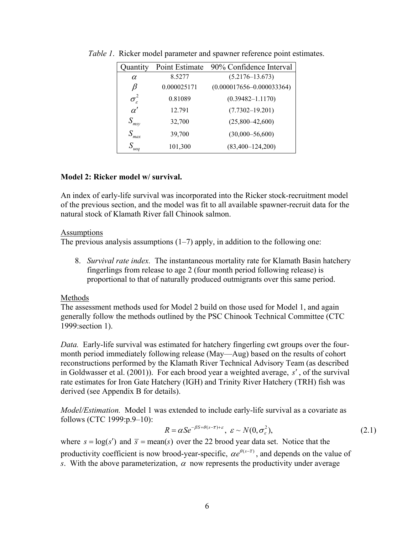| Quantity                 | Point Estimate | 90% Confidence Interval       |
|--------------------------|----------------|-------------------------------|
| $\alpha$                 | 8.5277         | $(5.2176 - 13.673)$           |
| β                        | 0.000025171    | $(0.000017656 - 0.000033364)$ |
| $\sigma_{\varepsilon}^2$ | 0.81089        | $(0.39482 - 1.1170)$          |
| $\alpha'$                | 12.791         | $(7.7302 - 19.201)$           |
| $S_{\text{msy}}$         | 32,700         | $(25,800-42,600)$             |
| $S_{max}$                | 39,700         | $(30,000 - 56,600)$           |
| $S_{ueq}$                | 101,300        | $(83,400 - 124,200)$          |

*Table 1*. Ricker model parameter and spawner reference point estimates.

#### **Model 2: Ricker model w/ survival.**

An index of early-life survival was incorporated into the Ricker stock-recruitment model of the previous section, and the model was fit to all available spawner-recruit data for the natural stock of Klamath River fall Chinook salmon.

#### **Assumptions**

The previous analysis assumptions  $(1-7)$  apply, in addition to the following one:

8. *Survival rate index.* The instantaneous mortality rate for Klamath Basin hatchery fingerlings from release to age 2 (four month period following release) is proportional to that of naturally produced outmigrants over this same period.

## Methods

The assessment methods used for Model 2 build on those used for Model 1, and again generally follow the methods outlined by the PSC Chinook Technical Committee (CTC 1999:section 1).

*Data.* Early-life survival was estimated for hatchery fingerling cwt groups over the fourmonth period immediately following release (May—Aug) based on the results of cohort reconstructions performed by the Klamath River Technical Advisory Team (as described in Goldwasser et al. (2001)). For each brood year a weighted average, s', of the survival rate estimates for Iron Gate Hatchery (IGH) and Trinity River Hatchery (TRH) fish was derived (see Appendix B for details).

*Model/Estimation.* Model 1 was extended to include early-life survival as a covariate as follows (CTC 1999:p.9–10):

$$
R = \alpha S e^{-\beta S + \theta(s-\overline{s})+\varepsilon}, \ \varepsilon \sim N(0, \sigma_{\varepsilon}^2), \tag{2.1}
$$

where  $s = \log(s')$  and  $\bar{s} = \text{mean}(s)$  over the 22 brood year data set. Notice that the productivity coefficient is now brood-year-specific,  $\alpha e^{\theta(s-\bar{s})}$ , and depends on the value of *s*. With the above parameterization,  $\alpha$  now represents the productivity under average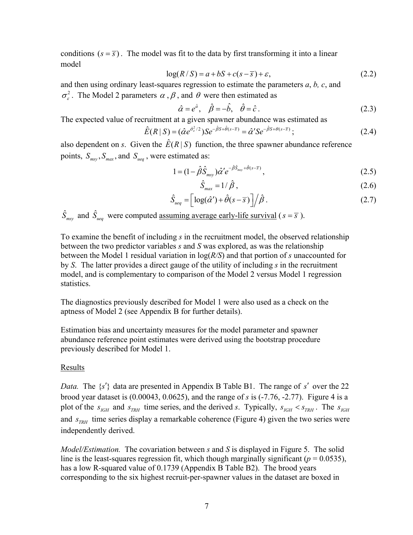conditions  $(s = \overline{s})$ . The model was fit to the data by first transforming it into a linear model

$$
log(R/S) = a + bS + c(s - \overline{s}) + \varepsilon,
$$
\n(2.2)

and then using ordinary least-squares regression to estimate the parameters *a*, *b, c*, and  $\sigma_s^2$ . The Model 2 parameters  $\alpha$ ,  $\beta$ , and  $\theta$  were then estimated as

$$
\hat{\alpha} = e^{\hat{a}}, \quad \hat{\beta} = -\hat{b}, \quad \hat{\theta} = \hat{c} \,. \tag{2.3}
$$

The expected value of recruitment at a given spawner abundance was estimated as

$$
\hat{E}(R \mid S) = (\hat{\alpha}e^{\hat{\sigma}_e^2/2})Se^{-\hat{\beta}S + \hat{\theta}(s-\overline{s})} = \hat{\alpha}'Se^{-\hat{\beta}S + \theta(s-\overline{s})};
$$
\n(2.4)

also dependent on *s*. Given the  $\hat{E}(R | S)$  function, the three spawner abundance reference points,  $S_{\text{msy}}$ ,  $S_{\text{max}}$ , and  $S_{\text{ueq}}$ , were estimated as:

$$
1 = (1 - \hat{\beta}\hat{S}_{msy})\hat{\alpha}'e^{-\hat{\beta}\hat{S}_{msy} + \hat{\theta}(s-\bar{s})},
$$
\n(2.5)

$$
\hat{S}_{max} = 1/\hat{\beta},\qquad(2.6)
$$

$$
\hat{S}_{ueq} = \left[ \log(\hat{\alpha}') + \hat{\theta}(s - \overline{s}) \right] / \hat{\beta} \,. \tag{2.7}
$$

$$
\hat{S}_{msy}
$$
 and  $\hat{S}_{ueq}$  were computed assuming average early-life survival ( $s = \overline{s}$ ).

To examine the benefit of including *s* in the recruitment model, the observed relationship between the two predictor variables *s* and *S* was explored, as was the relationship between the Model 1 residual variation in log(*R/S*) and that portion of *s* unaccounted for by *S*. The latter provides a direct gauge of the utility of including *s* in the recruitment model, and is complementary to comparison of the Model 2 versus Model 1 regression statistics.

The diagnostics previously described for Model 1 were also used as a check on the aptness of Model 2 (see Appendix B for further details).

Estimation bias and uncertainty measures for the model parameter and spawner abundance reference point estimates were derived using the bootstrap procedure previously described for Model 1.

#### Results

*Data.* The  $\{s'\}$  data are presented in Appendix B Table B1. The range of s' over the 22 brood year dataset is (0.00043, 0.0625), and the range of *s* is (-7.76, -2.77). Figure 4 is a plot of the  $s_{IGH}$  and  $s_{TRH}$  time series, and the derived *s*. Typically,  $s_{IGH} < s_{TRH}$ . The  $s_{IGH}$ and  $s_{TRH}$  time series display a remarkable coherence (Figure 4) given the two series were independently derived.

*Model/Estimation.* The covariation between *s* and *S* is displayed in Figure 5. The solid line is the least-squares regression fit, which though marginally significant ( $p = 0.0535$ ), has a low R-squared value of 0.1739 (Appendix B Table B2). The brood years corresponding to the six highest recruit-per-spawner values in the dataset are boxed in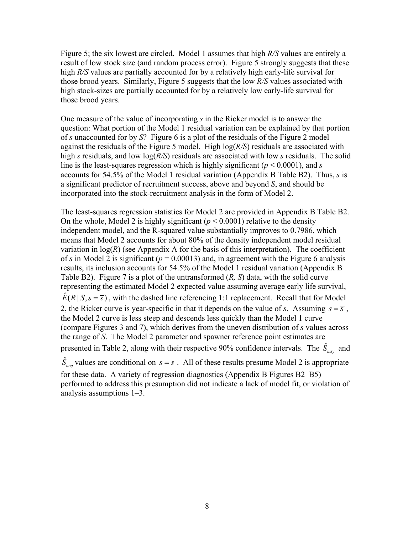Figure 5; the six lowest are circled. Model 1 assumes that high *R/S* values are entirely a result of low stock size (and random process error). Figure 5 strongly suggests that these high *R/S* values are partially accounted for by a relatively high early-life survival for those brood years. Similarly, Figure 5 suggests that the low *R/S* values associated with high stock-sizes are partially accounted for by a relatively low early-life survival for those brood years.

One measure of the value of incorporating *s* in the Ricker model is to answer the question: What portion of the Model 1 residual variation can be explained by that portion of *s* unaccounted for by *S*? Figure 6 is a plot of the residuals of the Figure 2 model against the residuals of the Figure 5 model. High log(*R/S*) residuals are associated with high *s* residuals, and low log(*R/S*) residuals are associated with low *s* residuals. The solid line is the least-squares regression which is highly significant ( $p < 0.0001$ ), and *s* accounts for 54.5% of the Model 1 residual variation (Appendix B Table B2). Thus, *s* is a significant predictor of recruitment success, above and beyond *S*, and should be incorporated into the stock-recruitment analysis in the form of Model 2.

The least-squares regression statistics for Model 2 are provided in Appendix B Table B2. On the whole, Model 2 is highly significant  $(p < 0.0001)$  relative to the density independent model, and the R-squared value substantially improves to 0.7986, which means that Model 2 accounts for about 80% of the density independent model residual variation in  $log(R)$  (see Appendix A for the basis of this interpretation). The coefficient of *s* in Model 2 is significant ( $p = 0.00013$ ) and, in agreement with the Figure 6 analysis results, its inclusion accounts for 54.5% of the Model 1 residual variation (Appendix B Table B2). Figure 7 is a plot of the untransformed (*R, S*) data, with the solid curve representing the estimated Model 2 expected value assuming average early life survival,  $\hat{E}(R | S, s = \overline{s})$ , with the dashed line referencing 1:1 replacement. Recall that for Model 2, the Ricker curve is year-specific in that it depends on the value of *s*. Assuming  $s = \overline{s}$ , the Model 2 curve is less steep and descends less quickly than the Model 1 curve (compare Figures 3 and 7), which derives from the uneven distribution of *s* values across the range of *S*. The Model 2 parameter and spawner reference point estimates are presented in Table 2, along with their respective 90% confidence intervals. The  $\hat{S}_{\text{msy}}$  and  $\hat{S}_{ueq}$  values are conditional on  $s = \overline{s}$ . All of these results presume Model 2 is appropriate

for these data. A variety of regression diagnostics (Appendix B Figures B2–B5) performed to address this presumption did not indicate a lack of model fit, or violation of analysis assumptions 1–3.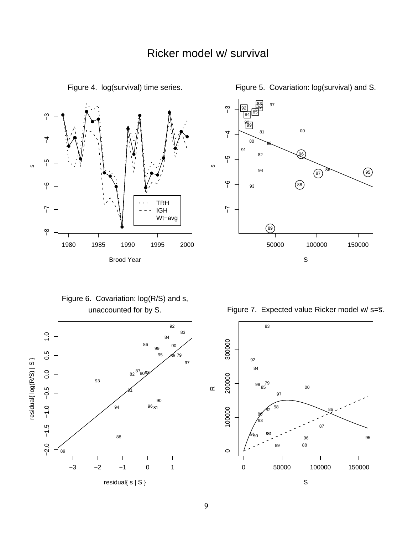

Figure 4. log(survival) time series.



Figure 5. Covariation: log(survival) and S.

Figure 6. Covariation: log(R/S) and s, unaccounted for by S.



Figure 7. Expected value Ricker model w/ s=s.

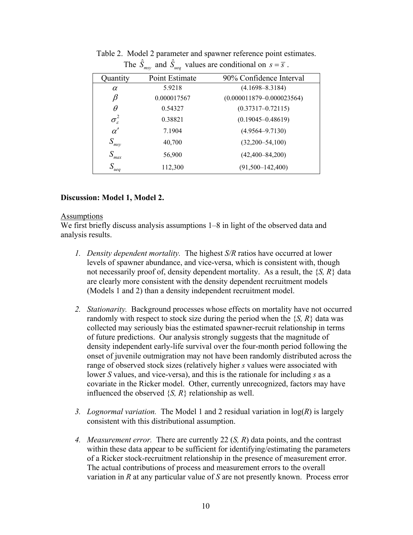| Quantity                 | Point Estimate | 90% Confidence Interval       |
|--------------------------|----------------|-------------------------------|
| $\alpha$                 | 5.9218         | $(4.1698 - 8.3184)$           |
| β                        | 0.000017567    | $(0.000011879 - 0.000023564)$ |
| $\theta$                 | 0.54327        | $(0.37317 - 0.72115)$         |
| $\sigma_{\varepsilon}^2$ | 0.38821        | $(0.19045 - 0.48619)$         |
| $\alpha'$                | 7.1904         | $(4.9564 - 9.7130)$           |
| $S_{\text{msy}}$         | 40,700         | $(32,200-54,100)$             |
| $S_{max}$                | 56,900         | $(42,400 - 84,200)$           |
| $S_{ueq}$                | 112,300        | $(91,500-142,400)$            |

Table 2. Model 2 parameter and spawner reference point estimates. The  $\hat{S}_{msy}$  and  $\hat{S}_{ueq}$  values are conditional on  $s = \overline{s}$ .

### **Discussion: Model 1, Model 2.**

#### Assumptions

We first briefly discuss analysis assumptions  $1-8$  in light of the observed data and analysis results.

- *1. Density dependent mortality.* The highest *S/R* ratios have occurred at lower levels of spawner abundance, and vice-versa, which is consistent with, though not necessarily proof of, density dependent mortality. As a result, the {*S, R*} data are clearly more consistent with the density dependent recruitment models (Models 1 and 2) than a density independent recruitment model.
- *2. Stationarity.* Background processes whose effects on mortality have not occurred randomly with respect to stock size during the period when the  $\{S, R\}$  data was collected may seriously bias the estimated spawner-recruit relationship in terms of future predictions. Our analysis strongly suggests that the magnitude of density independent early-life survival over the four-month period following the onset of juvenile outmigration may not have been randomly distributed across the range of observed stock sizes (relatively higher *s* values were associated with lower *S* values, and vice-versa), and this is the rationale for including *s* as a covariate in the Ricker model. Other, currently unrecognized, factors may have influenced the observed  $\{S, R\}$  relationship as well.
- *3. Lognormal variation.* The Model 1 and 2 residual variation in log(*R*) is largely consistent with this distributional assumption.
- *4. Measurement error.* There are currently 22 (*S, R*) data points, and the contrast within these data appear to be sufficient for identifying/estimating the parameters of a Ricker stock-recruitment relationship in the presence of measurement error. The actual contributions of process and measurement errors to the overall variation in *R* at any particular value of *S* are not presently known. Process error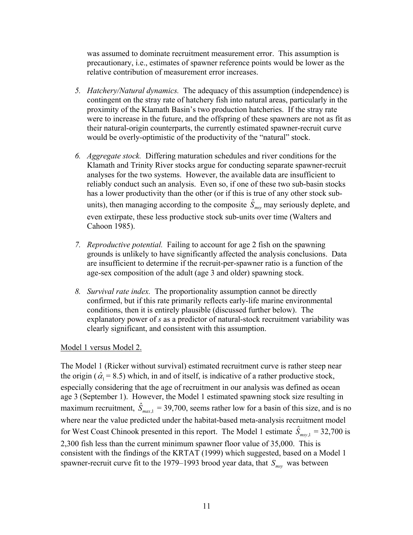was assumed to dominate recruitment measurement error. This assumption is precautionary, i.e., estimates of spawner reference points would be lower as the relative contribution of measurement error increases.

- *5. Hatchery/Natural dynamics.* The adequacy of this assumption (independence) is contingent on the stray rate of hatchery fish into natural areas, particularly in the proximity of the Klamath Basin's two production hatcheries. If the stray rate were to increase in the future, and the offspring of these spawners are not as fit as their natural-origin counterparts, the currently estimated spawner-recruit curve would be overly-optimistic of the productivity of the "natural" stock.
- *6. Aggregate stock.* Differing maturation schedules and river conditions for the Klamath and Trinity River stocks argue for conducting separate spawner-recruit analyses for the two systems. However, the available data are insufficient to reliably conduct such an analysis. Even so, if one of these two sub-basin stocks has a lower productivity than the other (or if this is true of any other stock subunits), then managing according to the composite  $\hat{S}_{\text{msy}}$  may seriously deplete, and even extirpate, these less productive stock sub-units over time (Walters and Cahoon 1985).
- *7. Reproductive potential.* Failing to account for age 2 fish on the spawning grounds is unlikely to have significantly affected the analysis conclusions. Data are insufficient to determine if the recruit-per-spawner ratio is a function of the age-sex composition of the adult (age 3 and older) spawning stock.
- *8. Survival rate index.* The proportionality assumption cannot be directly confirmed, but if this rate primarily reflects early-life marine environmental conditions, then it is entirely plausible (discussed further below). The explanatory power of *s* as a predictor of natural-stock recruitment variability was clearly significant, and consistent with this assumption.

## Model 1 versus Model 2.

The Model 1 (Ricker without survival) estimated recruitment curve is rather steep near the origin ( $\hat{\alpha}_1$  = 8.5) which, in and of itself, is indicative of a rather productive stock, especially considering that the age of recruitment in our analysis was defined as ocean age 3 (September 1). However, the Model 1 estimated spawning stock size resulting in maximum recruitment,  $\hat{S}_{max,1} = 39,700$ , seems rather low for a basin of this size, and is no where near the value predicted under the habitat-based meta-analysis recruitment model for West Coast Chinook presented in this report. The Model 1 estimate  $\hat{S}_{msv,1} = 32,700$  is 2,300 fish less than the current minimum spawner floor value of 35,000. This is consistent with the findings of the KRTAT (1999) which suggested, based on a Model 1 spawner-recruit curve fit to the 1979–1993 brood year data, that  $S_{\text{msy}}$  was between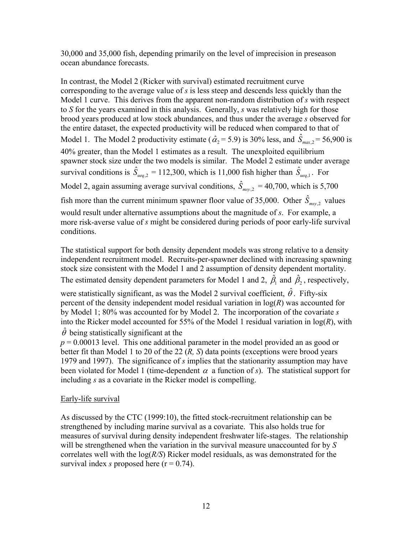30,000 and 35,000 fish, depending primarily on the level of imprecision in preseason ocean abundance forecasts.

In contrast, the Model 2 (Ricker with survival) estimated recruitment curve corresponding to the average value of *s* is less steep and descends less quickly than the Model 1 curve. This derives from the apparent non-random distribution of *s* with respect to *S* for the years examined in this analysis. Generally, *s* was relatively high for those brood years produced at low stock abundances, and thus under the average *s* observed for the entire dataset, the expected productivity will be reduced when compared to that of Model 1. The Model 2 productivity estimate ( $\hat{\alpha}_2 = 5.9$ ) is 30% less, and  $\hat{S}_{max,2} = 56,900$  is 40% greater, than the Model 1 estimates as a result. The unexploited equilibrium spawner stock size under the two models is similar. The Model 2 estimate under average survival conditions is  $\hat{S}_{ueq,2} = 112,300$ , which is 11,000 fish higher than  $\hat{S}_{ueq,1}$ . For Model 2, again assuming average survival conditions,  $\hat{S}_{msy,2} = 40,700$ , which is 5,700

fish more than the current minimum spawner floor value of 35,000. Other  $\hat{S}_{msy,2}$  values would result under alternative assumptions about the magnitude of *s*. For example, a more risk-averse value of *s* might be considered during periods of poor early-life survival conditions.

The statistical support for both density dependent models was strong relative to a density independent recruitment model. Recruits-per-spawner declined with increasing spawning stock size consistent with the Model 1 and 2 assumption of density dependent mortality. The estimated density dependent parameters for Model 1 and 2,  $\hat{\beta}_1$  and  $\hat{\beta}_2$ , respectively,

were statistically significant, as was the Model 2 survival coefficient,  $\hat{\theta}$ . Fifty-six percent of the density independent model residual variation in log(*R*) was accounted for by Model 1; 80% was accounted for by Model 2. The incorporation of the covariate *s* into the Ricker model accounted for 55% of the Model 1 residual variation in log(*R*), with  $\hat{\theta}$  being statistically significant at the

 $p = 0.00013$  level. This one additional parameter in the model provided an as good or better fit than Model 1 to 20 of the 22 (*R, S*) data points (exceptions were brood years 1979 and 1997). The significance of *s* implies that the stationarity assumption may have been violated for Model 1 (time-dependent  $\alpha$  a function of *s*). The statistical support for including *s* as a covariate in the Ricker model is compelling.

## Early-life survival

As discussed by the CTC (1999:10), the fitted stock-recruitment relationship can be strengthened by including marine survival as a covariate. This also holds true for measures of survival during density independent freshwater life-stages. The relationship will be strengthened when the variation in the survival measure unaccounted for by *S* correlates well with the log(*R/S*) Ricker model residuals, as was demonstrated for the survival index *s* proposed here  $(r = 0.74)$ .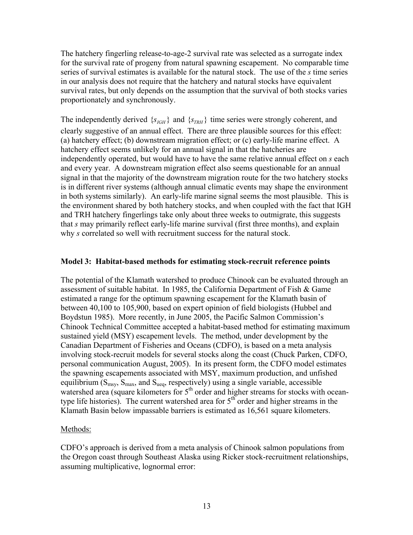The hatchery fingerling release-to-age-2 survival rate was selected as a surrogate index for the survival rate of progeny from natural spawning escapement. No comparable time series of survival estimates is available for the natural stock. The use of the *s* time series in our analysis does not require that the hatchery and natural stocks have equivalent survival rates, but only depends on the assumption that the survival of both stocks varies proportionately and synchronously.

The independently derived  $\{s_{IGH}\}\$  and  $\{s_{TRH}\}\$  time series were strongly coherent, and clearly suggestive of an annual effect. There are three plausible sources for this effect: (a) hatchery effect; (b) downstream migration effect; or (c) early-life marine effect. A hatchery effect seems unlikely for an annual signal in that the hatcheries are independently operated, but would have to have the same relative annual effect on *s* each and every year. A downstream migration effect also seems questionable for an annual signal in that the majority of the downstream migration route for the two hatchery stocks is in different river systems (although annual climatic events may shape the environment in both systems similarly). An early-life marine signal seems the most plausible. This is the environment shared by both hatchery stocks, and when coupled with the fact that IGH and TRH hatchery fingerlings take only about three weeks to outmigrate, this suggests that *s* may primarily reflect early-life marine survival (first three months), and explain why *s* correlated so well with recruitment success for the natural stock.

#### **Model 3: Habitat-based methods for estimating stock-recruit reference points**

The potential of the Klamath watershed to produce Chinook can be evaluated through an assessment of suitable habitat. In 1985, the California Department of Fish & Game estimated a range for the optimum spawning escapement for the Klamath basin of between 40,100 to 105,900, based on expert opinion of field biologists (Hubbel and Boydstun 1985). More recently, in June 2005, the Pacific Salmon Commission's Chinook Technical Committee accepted a habitat-based method for estimating maximum sustained yield (MSY) escapement levels. The method, under development by the Canadian Department of Fisheries and Oceans (CDFO), is based on a meta analysis involving stock-recruit models for several stocks along the coast (Chuck Parken, CDFO, personal communication August, 2005). In its present form, the CDFO model estimates the spawning escapements associated with MSY, maximum production, and unfished equilibrium ( $S_{\text{msy}}, S_{\text{max}}$ , and  $S_{\text{ueq}}$ , respectively) using a single variable, accessible watershed area (square kilometers for 5<sup>th</sup> order and higher streams for stocks with oceantype life histories). The current watershed area for  $5<sup>th</sup>$  order and higher streams in the Klamath Basin below impassable barriers is estimated as 16,561 square kilometers.

#### Methods:

CDFO's approach is derived from a meta analysis of Chinook salmon populations from the Oregon coast through Southeast Alaska using Ricker stock-recruitment relationships, assuming multiplicative, lognormal error: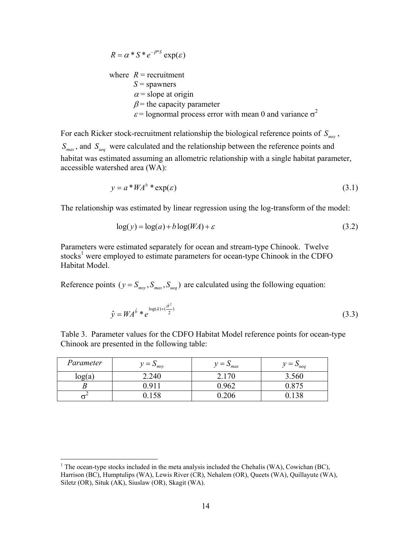where 
$$
R
$$
 = recruitment  
\n $S$  = spawners  
\n $\alpha$  = slope at origin  
\n $\beta$  = the capacity parameter  
\n $\varepsilon$  = lognormal process error with mean 0 and variance  $\sigma^2$ 

 $R = \alpha * S * e^{-\beta}$   $\exp(c)$ 

For each Ricker stock-recruitment relationship the biological reference points of  $S_{\text{msy}}$ ,  $S_{\textit{max}}$ , and  $S_{\textit{ueq}}$  were calculated and the relationship between the reference points and habitat was estimated assuming an allometric relationship with a single habitat parameter, accessible watershed area (WA):

$$
y = a * WA^{b} * \exp(\varepsilon)
$$
 (3.1)

The relationship was estimated by linear regression using the log-transform of the model:

$$
log(y) = log(a) + b log(WA) + \varepsilon
$$
\n(3.2)

Parameters were estimated separately for ocean and stream-type Chinook. Twelve stocks<sup>1</sup> were employed to estimate parameters for ocean-type Chinook in the CDFO Habitat Model.

Reference points ( $y = S_{\text{msv}}, S_{\text{mav}}, S_{\text{ueq}}$ ) are calculated using the following equation:

$$
\hat{y} = WA^{\hat{b}} * e^{\log(\hat{a}) + (\frac{\hat{\sigma}^2}{2})}
$$
\n(3.3)

Table 3. Parameter values for the CDFO Habitat Model reference points for ocean-type Chinook are presented in the following table:

| Parameter | $=$<br>11<br>$\sim_{msv}$ | $v = \Delta_{max}$ | $v = \mathcal{S}_{ueq}$ |
|-----------|---------------------------|--------------------|-------------------------|
| log(a)    | 2.240                     |                    | 3.560                   |
|           | Q                         | 1962               | 875                     |
|           |                           | 206                |                         |

<span id="page-18-0"></span> $\frac{1}{1}$ <sup>1</sup> The ocean-type stocks included in the meta analysis included the Chehalis (WA), Cowichan (BC), Harrison (BC), Humptulips (WA), Lewis River (CR), Nehalem (OR), Queets (WA), Quillayute (WA), Siletz (OR), Situk (AK), Siuslaw (OR), Skagit (WA).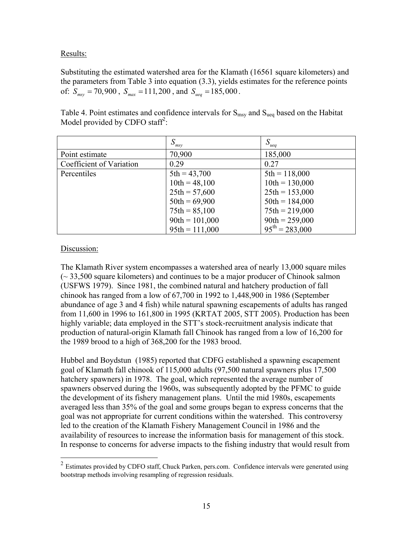### Results:

Substituting the estimated watershed area for the Klamath (16561 square kilometers) and the parameters from Table 3 into equation (3.3), yields estimates for the reference points of:  $S_{msy} = 70,900$ ,  $S_{max} = 111,200$ , and  $S_{ueq} = 185,000$ .

Table 4. Point estimates and confidence intervals for  $S_{\text{msg}}$  and  $S_{\text{ueq}}$  based on the Habitat Model provided by CDFO staff<sup>2</sup>:

|                          | $S_{msy}$        | $S_{ueq}$                  |
|--------------------------|------------------|----------------------------|
| Point estimate           | 70,900           | 185,000                    |
| Coefficient of Variation | 0.29             | 0.27                       |
| Percentiles              | $5th = 43,700$   | $5th = 118,000$            |
|                          | $10th = 48,100$  | $10th = 130,000$           |
|                          | $25th = 57,600$  | $25th = 153,000$           |
|                          | $50th = 69,900$  | $50th = 184,000$           |
|                          | $75th = 85,100$  | $75th = 219,000$           |
|                          | $90th = 101,000$ | $90th = 259,000$           |
|                          | $95th = 111,000$ | $95^{\text{th}} = 283,000$ |

### Discussion:

The Klamath River system encompasses a watershed area of nearly 13,000 square miles (~ 33,500 square kilometers) and continues to be a major producer of Chinook salmon (USFWS 1979). Since 1981, the combined natural and hatchery production of fall chinook has ranged from a low of 67,700 in 1992 to 1,448,900 in 1986 (September abundance of age 3 and 4 fish) while natural spawning escapements of adults has ranged from 11,600 in 1996 to 161,800 in 1995 (KRTAT 2005, STT 2005). Production has been highly variable; data employed in the STT's stock-recruitment analysis indicate that production of natural-origin Klamath fall Chinook has ranged from a low of 16,200 for the 1989 brood to a high of 368,200 for the 1983 brood.

Hubbel and Boydstun (1985) reported that CDFG established a spawning escapement goal of Klamath fall chinook of 115,000 adults (97,500 natural spawners plus 17,500 hatchery spawners) in 1978. The goal, which represented the average number of spawners observed during the 1960s, was subsequently adopted by the PFMC to guide the development of its fishery management plans. Until the mid 1980s, escapements averaged less than 35% of the goal and some groups began to express concerns that the goal was not appropriate for current conditions within the watershed. This controversy led to the creation of the Klamath Fishery Management Council in 1986 and the availability of resources to increase the information basis for management of this stock. In response to concerns for adverse impacts to the fishing industry that would result from

<span id="page-19-0"></span> <sup>2</sup> Estimates provided by CDFO staff, Chuck Parken, pers.com. Confidence intervals were generated using bootstrap methods involving resampling of regression residuals.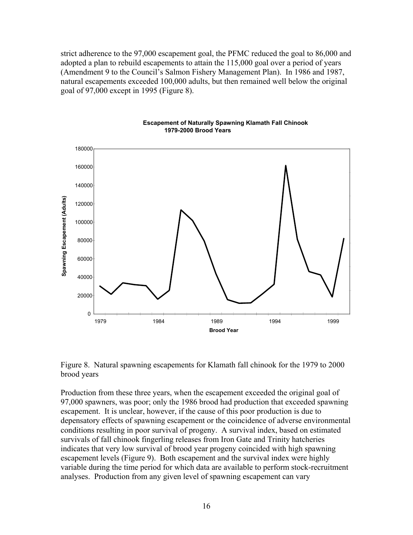strict adherence to the 97,000 escapement goal, the PFMC reduced the goal to 86,000 and adopted a plan to rebuild escapements to attain the 115,000 goal over a period of years (Amendment 9 to the Council's Salmon Fishery Management Plan). In 1986 and 1987, natural escapements exceeded 100,000 adults, but then remained well below the original goal of 97,000 except in 1995 (Figure 8).



#### **Escapement of Naturally Spawning Klamath Fall Chinook 1979-2000 Brood Years**

Figure 8. Natural spawning escapements for Klamath fall chinook for the 1979 to 2000 brood years

Production from these three years, when the escapement exceeded the original goal of 97,000 spawners, was poor; only the 1986 brood had production that exceeded spawning escapement. It is unclear, however, if the cause of this poor production is due to depensatory effects of spawning escapement or the coincidence of adverse environmental conditions resulting in poor survival of progeny. A survival index, based on estimated survivals of fall chinook fingerling releases from Iron Gate and Trinity hatcheries indicates that very low survival of brood year progeny coincided with high spawning escapement levels (Figure 9). Both escapement and the survival index were highly variable during the time period for which data are available to perform stock-recruitment analyses. Production from any given level of spawning escapement can vary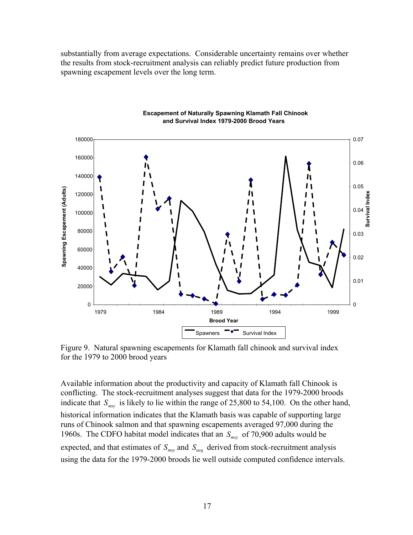substantially from average expectations. Considerable uncertainty remains over whether the results from stock-recruitment analysis can reliably predict future production from spawning escapement levels over the long term.



**Escapement of Naturally Spawning Klamath Fall Chinook and Survival Index 1979-2000 Brood Years**

Figure 9. Natural spawning escapements for Klamath fall chinook and survival index for the 1979 to 2000 brood years

Available information about the productivity and capacity of Klamath fall Chinook is conflicting. The stock-recruitment analyses suggest that data for the 1979-2000 broods indicate that  $S_{\text{msy}}$  is likely to lie within the range of 25,800 to 54,100. On the other hand, historical information indicates that the Klamath basis was capable of supporting large runs of Chinook salmon and that spawning escapements averaged 97,000 during the 1960s. The CDFO habitat model indicates that an  $S_{\text{msy}}$  of 70,900 adults would be expected, and that estimates of  $S_{\text{msg}}$  and  $S_{\text{ueq}}$  derived from stock-recruitment analysis using the data for the 1979-2000 broods lie well outside computed confidence intervals.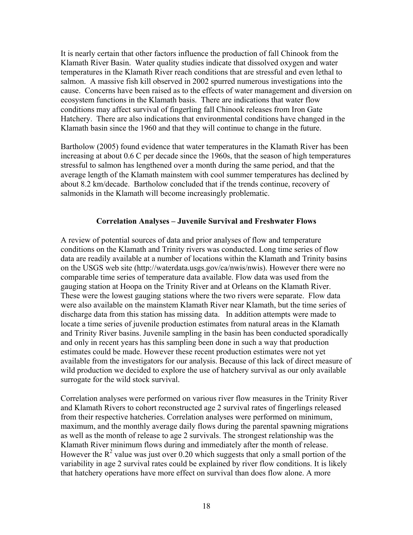It is nearly certain that other factors influence the production of fall Chinook from the Klamath River Basin. Water quality studies indicate that dissolved oxygen and water temperatures in the Klamath River reach conditions that are stressful and even lethal to salmon. A massive fish kill observed in 2002 spurred numerous investigations into the cause. Concerns have been raised as to the effects of water management and diversion on ecosystem functions in the Klamath basis. There are indications that water flow conditions may affect survival of fingerling fall Chinook releases from Iron Gate Hatchery. There are also indications that environmental conditions have changed in the Klamath basin since the 1960 and that they will continue to change in the future.

Bartholow (2005) found evidence that water temperatures in the Klamath River has been increasing at about 0.6 C per decade since the 1960s, that the season of high temperatures stressful to salmon has lengthened over a month during the same period, and that the average length of the Klamath mainstem with cool summer temperatures has declined by about 8.2 km/decade. Bartholow concluded that if the trends continue, recovery of salmonids in the Klamath will become increasingly problematic.

### **Correlation Analyses – Juvenile Survival and Freshwater Flows**

A review of potential sources of data and prior analyses of flow and temperature conditions on the Klamath and Trinity rivers was conducted. Long time series of flow data are readily available at a number of locations within the Klamath and Trinity basins on the USGS web site (http://waterdata.usgs.gov/ca/nwis/nwis). However there were no comparable time series of temperature data available. Flow data was used from the gauging station at Hoopa on the Trinity River and at Orleans on the Klamath River. These were the lowest gauging stations where the two rivers were separate. Flow data were also available on the mainstem Klamath River near Klamath, but the time series of discharge data from this station has missing data. In addition attempts were made to locate a time series of juvenile production estimates from natural areas in the Klamath and Trinity River basins. Juvenile sampling in the basin has been conducted sporadically and only in recent years has this sampling been done in such a way that production estimates could be made. However these recent production estimates were not yet available from the investigators for our analysis. Because of this lack of direct measure of wild production we decided to explore the use of hatchery survival as our only available surrogate for the wild stock survival.

Correlation analyses were performed on various river flow measures in the Trinity River and Klamath Rivers to cohort reconstructed age 2 survival rates of fingerlings released from their respective hatcheries. Correlation analyses were performed on minimum, maximum, and the monthly average daily flows during the parental spawning migrations as well as the month of release to age 2 survivals. The strongest relationship was the Klamath River minimum flows during and immediately after the month of release. However the  $R^2$  value was just over 0.20 which suggests that only a small portion of the variability in age 2 survival rates could be explained by river flow conditions. It is likely that hatchery operations have more effect on survival than does flow alone. A more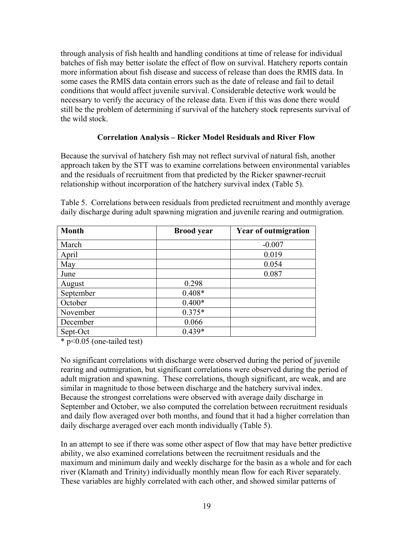through analysis of fish health and handling conditions at time of release for individual batches of fish may better isolate the effect of flow on survival. Hatchery reports contain more information about fish disease and success of release than does the RMIS data. In some cases the RMIS data contain errors such as the date of release and fail to detail conditions that would affect juvenile survival. Considerable detective work would be necessary to verify the accuracy of the release data. Even if this was done there would still be the problem of determining if survival of the hatchery stock represents survival of the wild stock.

### **Correlation Analysis – Ricker Model Residuals and River Flow**

Because the survival of hatchery fish may not reflect survival of natural fish, another approach taken by the STT was to examine correlations between environmental variables and the residuals of recruitment from that predicted by the Ricker spawner-recruit relationship without incorporation of the hatchery survival index (Table 5).

| <b>Month</b> | <b>Brood</b> year | <b>Year of outmigration</b> |
|--------------|-------------------|-----------------------------|
| March        |                   | $-0.007$                    |
| April        |                   | 0.019                       |
| May          |                   | 0.054                       |
| June         |                   | 0.087                       |
| August       | 0.298             |                             |
| September    | $0.408*$          |                             |
| October      | $0.400*$          |                             |
| November     | $0.375*$          |                             |
| December     | 0.066             |                             |
| Sept-Oct     | $0.439*$          |                             |

Table 5. Correlations between residuals from predicted recruitment and monthly average daily discharge during adult spawning migration and juvenile rearing and outmigration.

\* p<0.05 (one-tailed test)

No significant correlations with discharge were observed during the period of juvenile rearing and outmigration, but significant correlations were observed during the period of adult migration and spawning. These correlations, though significant, are weak, and are similar in magnitude to those between discharge and the hatchery survival index. Because the strongest correlations were observed with average daily discharge in September and October, we also computed the correlation between recruitment residuals and daily flow averaged over both months, and found that it had a higher correlation than daily discharge averaged over each month individually (Table 5).

In an attempt to see if there was some other aspect of flow that may have better predictive ability, we also examined correlations between the recruitment residuals and the maximum and minimum daily and weekly discharge for the basin as a whole and for each river (Klamath and Trinity) individually monthly mean flow for each River separately. These variables are highly correlated with each other, and showed similar patterns of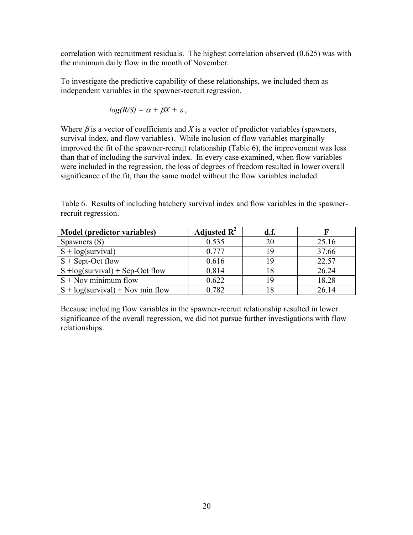correlation with recruitment residuals. The highest correlation observed (0.625) was with the minimum daily flow in the month of November.

To investigate the predictive capability of these relationships, we included them as independent variables in the spawner-recruit regression.

$$
log(R/S) = \alpha + \beta X + \varepsilon,
$$

Where  $\beta$  is a vector of coefficients and X is a vector of predictor variables (spawners, survival index, and flow variables). While inclusion of flow variables marginally improved the fit of the spawner-recruit relationship (Table 6), the improvement was less than that of including the survival index. In every case examined, when flow variables were included in the regression, the loss of degrees of freedom resulted in lower overall significance of the fit, than the same model without the flow variables included.

|                     |  |  | Table 6. Results of including hatchery survival index and flow variables in the spawner- |
|---------------------|--|--|------------------------------------------------------------------------------------------|
| recruit regression. |  |  |                                                                                          |

| Model (predictor variables)        | Adjusted $\mathbf{R}^2$ | d.f. |       |
|------------------------------------|-------------------------|------|-------|
| Spawners (S)                       | 0.535                   |      | 25.16 |
| $S + log(survival)$                | 0.777                   | 19   | 37.66 |
| $S + Sept-Oct$ flow                | 0.616                   |      | 22.57 |
| $S + log(survival) + Sep-Oct$ flow | 0.814                   |      | 26.24 |
| $S + Nov minimum flow$             | 0.622                   | 19   | 18.28 |
| $S + log(survival) + Nov min flow$ | 0.782                   |      | 26.14 |

Because including flow variables in the spawner-recruit relationship resulted in lower significance of the overall regression, we did not pursue further investigations with flow relationships.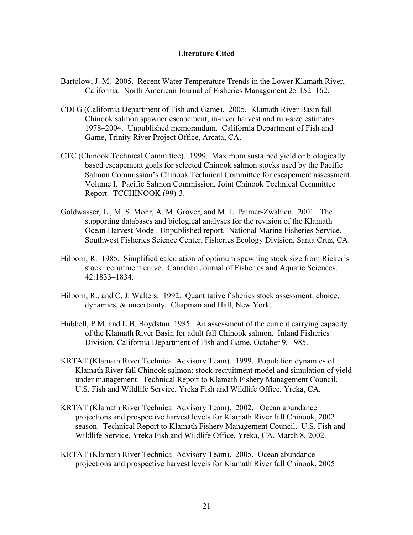#### **Literature Cited**

- Bartolow, J. M. 2005. Recent Water Temperature Trends in the Lower Klamath River, California. North American Journal of Fisheries Management 25:152–162.
- CDFG (California Department of Fish and Game). 2005. Klamath River Basin fall Chinook salmon spawner escapement, in-river harvest and run-size estimates 1978–2004. Unpublished memorandum. California Department of Fish and Game, Trinity River Project Office, Arcata, CA.
- CTC (Chinook Technical Committee). 1999. Maximum sustained yield or biologically based escapement goals for selected Chinook salmon stocks used by the Pacific Salmon Commission's Chinook Technical Committee for escapement assessment, Volume I. Pacific Salmon Commission, Joint Chinook Technical Committee Report. TCCHINOOK (99)-3.
- Goldwasser, L., M. S. Mohr, A. M. Grover, and M. L. Palmer-Zwahlen. 2001. The supporting databases and biological analyses for the revision of the Klamath Ocean Harvest Model. Unpublished report. National Marine Fisheries Service, Southwest Fisheries Science Center, Fisheries Ecology Division, Santa Cruz, CA.
- Hilborn, R. 1985. Simplified calculation of optimum spawning stock size from Ricker's stock recruitment curve. Canadian Journal of Fisheries and Aquatic Sciences, 42:1833–1834.
- Hilborn, R., and C. J. Walters. 1992. Quantitative fisheries stock assessment: choice, dynamics, & uncertainty. Chapman and Hall, New York.
- Hubbell, P.M. and L.B. Boydstun. 1985. An assessment of the current carrying capacity of the Klamath River Basin for adult fall Chinook salmon. Inland Fisheries Division, California Department of Fish and Game, October 9, 1985.
- KRTAT (Klamath River Technical Advisory Team). 1999. Population dynamics of Klamath River fall Chinook salmon: stock-recruitment model and simulation of yield under management. Technical Report to Klamath Fishery Management Council. U.S. Fish and Wildlife Service, Yreka Fish and Wildlife Office, Yreka, CA.
- KRTAT (Klamath River Technical Advisory Team). 2002. Ocean abundance projections and prospective harvest levels for Klamath River fall Chinook, 2002 season. Technical Report to Klamath Fishery Management Council. U.S. Fish and Wildlife Service, Yreka Fish and Wildlife Office, Yreka, CA. March 8, 2002.
- KRTAT (Klamath River Technical Advisory Team). 2005. Ocean abundance projections and prospective harvest levels for Klamath River fall Chinook, 2005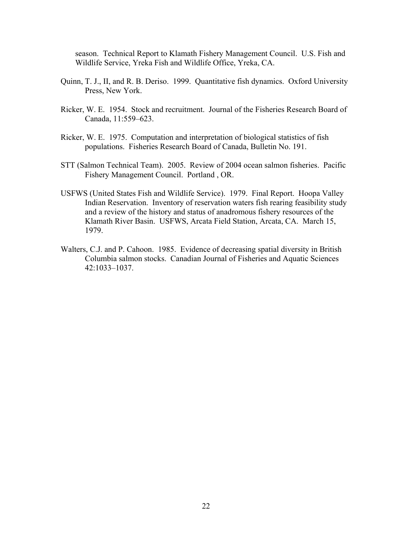season. Technical Report to Klamath Fishery Management Council. U.S. Fish and Wildlife Service, Yreka Fish and Wildlife Office, Yreka, CA.

- Quinn, T. J., II, and R. B. Deriso. 1999. Quantitative fish dynamics. Oxford University Press, New York.
- Ricker, W. E. 1954. Stock and recruitment. Journal of the Fisheries Research Board of Canada, 11:559–623.
- Ricker, W. E. 1975. Computation and interpretation of biological statistics of fish populations. Fisheries Research Board of Canada, Bulletin No. 191.
- STT (Salmon Technical Team). 2005. Review of 2004 ocean salmon fisheries. Pacific Fishery Management Council. Portland , OR.
- USFWS (United States Fish and Wildlife Service). 1979. Final Report. Hoopa Valley Indian Reservation. Inventory of reservation waters fish rearing feasibility study and a review of the history and status of anadromous fishery resources of the Klamath River Basin. USFWS, Arcata Field Station, Arcata, CA. March 15, 1979.
- Walters, C.J. and P. Cahoon. 1985. Evidence of decreasing spatial diversity in British Columbia salmon stocks. Canadian Journal of Fisheries and Aquatic Sciences 42:1033–1037.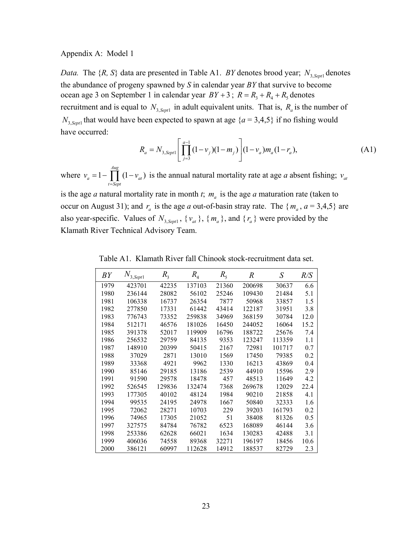#### Appendix A: Model 1

*Data.* The  $\{R, S\}$  data are presented in Table A1. *BY* denotes brood year;  $N_{3, Sept}$  denotes the abundance of progeny spawned by *S* in calendar year *BY* that survive to become ocean age 3 on September 1 in calendar year  $BY + 3$ ;  $R = R_3 + R_4 + R_5$  denotes recruitment and is equal to  $N_{3, Sept}$  in adult equivalent units. That is,  $R_a$  is the number of  $N_{3, Sept}$  that would have been expected to spawn at age  ${a = 3,4,5}$  if no fishing would have occurred:

$$
R_a = N_{3, Sept} \left[ \prod_{j=3}^{a-1} (1 - v_j)(1 - m_j) \right] (1 - v_a) m_a (1 - r_a), \tag{A1}
$$

where  $v_a = 1 - \prod_{a} (1 - v_{at})$  is the annual natural mortality rate at age *a* absent fishing; *Aug a*  $t = 1 - \prod_{t=Sept}^{3} (1 - v_{at})$  is the annual natural mortality rate at age *a* absent fishing;  $v_{at}$ 

is the age *a* natural mortality rate in month *t*;  $m_a$  is the age *a* maturation rate (taken to occur on August 31); and  $r_a$  is the age *a* out-of-basin stray rate. The  $\{m_a, a = 3, 4, 5\}$  are also year-specific. Values of  $N_{3, sept}$ ,  $\{v_{at}\}\$ ,  $\{m_a\}$ , and  $\{r_a\}$  were provided by the Klamath River Technical Advisory Team.

Table A1. Klamath River fall Chinook stock-recruitment data set.

| BY   | $N_{3, Sept1}$ | $R_{3}$ | $R_{4}$ | $R_{5}$ | $\it R$ | S      | R/S  |
|------|----------------|---------|---------|---------|---------|--------|------|
| 1979 | 423701         | 42235   | 137103  | 21360   | 200698  | 30637  | 6.6  |
| 1980 | 236144         | 28082   | 56102   | 25246   | 109430  | 21484  | 5.1  |
| 1981 | 106338         | 16737   | 26354   | 7877    | 50968   | 33857  | 1.5  |
| 1982 | 277850         | 17331   | 61442   | 43414   | 122187  | 31951  | 3.8  |
| 1983 | 776743         | 73352   | 259838  | 34969   | 368159  | 30784  | 12.0 |
| 1984 | 512171         | 46576   | 181026  | 16450   | 244052  | 16064  | 15.2 |
| 1985 | 391378         | 52017   | 119909  | 16796   | 188722  | 25676  | 7.4  |
| 1986 | 256532         | 29759   | 84135   | 9353    | 123247  | 113359 | 1.1  |
| 1987 | 148910         | 20399   | 50415   | 2167    | 72981   | 101717 | 0.7  |
| 1988 | 37029          | 2871    | 13010   | 1569    | 17450   | 79385  | 0.2  |
| 1989 | 33368          | 4921    | 9962    | 1330    | 16213   | 43869  | 0.4  |
| 1990 | 85146          | 29185   | 13186   | 2539    | 44910   | 15596  | 2.9  |
| 1991 | 91590          | 29578   | 18478   | 457     | 48513   | 11649  | 4.2  |
| 1992 | 526545         | 129836  | 132474  | 7368    | 269678  | 12029  | 22.4 |
| 1993 | 177305         | 40102   | 48124   | 1984    | 90210   | 21858  | 4.1  |
| 1994 | 99535          | 24195   | 24978   | 1667    | 50840   | 32333  | 1.6  |
| 1995 | 72062          | 28271   | 10703   | 229     | 39203   | 161793 | 0.2  |
| 1996 | 74965          | 17305   | 21052   | 51      | 38408   | 81326  | 0.5  |
| 1997 | 327575         | 84784   | 76782   | 6523    | 168089  | 46144  | 3.6  |
| 1998 | 253386         | 62628   | 66021   | 1634    | 130283  | 42488  | 3.1  |
| 1999 | 406036         | 74558   | 89368   | 32271   | 196197  | 18456  | 10.6 |
| 2000 | 386121         | 60997   | 112628  | 14912   | 188537  | 82729  | 2.3  |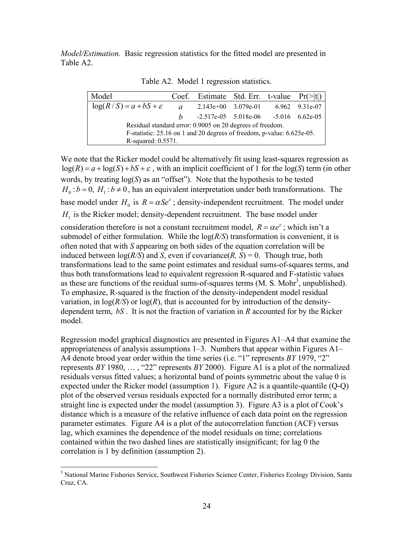*Model/Estimation.* Basic regression statistics for the fitted model are presented in Table A2.

Table A2. Model 1 regression statistics.

| Model                                                                  |                                                           | Coef. Estimate Std. Err. t-value $Pr(\ge  t )$ |  |  |                |  |
|------------------------------------------------------------------------|-----------------------------------------------------------|------------------------------------------------|--|--|----------------|--|
| $\log(R/S) = a + bS + \varepsilon$                                     | $\overline{a}$                                            | $2.143e+00$ $3.079e-01$                        |  |  | 6.962 9.31e-07 |  |
|                                                                        | h                                                         | $-2.517e-05$ $5.018e-06$ $-5.016$ $6.62e-05$   |  |  |                |  |
|                                                                        | Residual standard error: 0.9005 on 20 degrees of freedom. |                                                |  |  |                |  |
| F-statistic: 25.16 on 1 and 20 degrees of freedom, p-value: 6.625e-05. |                                                           |                                                |  |  |                |  |
| R-squared: 0.5571.                                                     |                                                           |                                                |  |  |                |  |

We note that the Ricker model could be alternatively fit using least-squares regression as  $log(R) = a + log(S) + bS + \varepsilon$ , with an implicit coefficient of 1 for the  $log(S)$  term (in other  $H_0$ :  $b = 0$ ,  $H_1$ :  $b \ne 0$ , has an equivalent interpretation under both transformations. The base model under  $H_0$  is  $R = \alpha S e^{\epsilon}$ ; density-independent recruitment. The model under words, by treating log(*S*) as an "offset"). Note that the hypothesis to be tested  $H<sub>1</sub>$  is the Ricker model; density-dependent recruitment. The base model under

consideration therefore is not a constant recruitment model,  $R = \alpha e^{\epsilon}$ ; which isn't a submodel of either formulation. While the log(*R/S*) transformation is convenient, it is often noted that with *S* appearing on both sides of the equation correlation will be induced between  $log(R/S)$  and *S*, even if covariance(*R*, *S*) = 0. Though true, both transformations lead to the same point estimates and residual sums-of-squares terms, and thus both transformations lead to equivalent regression R-squared and F-statistic values as these are functions of the residual sums-of-squares terms  $(M. S. Mohr<sup>3</sup>, unpublished)$  $(M. S. Mohr<sup>3</sup>, unpublished)$  $(M. S. Mohr<sup>3</sup>, unpublished)$ . To emphasize, R-squared is the fraction of the density-independent model residual variation, in  $log(R/S)$  or  $log(R)$ , that is accounted for by introduction of the densitydependent term, *bS* . It is not the fraction of variation in *R* accounted for by the Ricker model.

Regression model graphical diagnostics are presented in Figures A1–A4 that examine the appropriateness of analysis assumptions 1–3. Numbers that appear within Figures A1– A4 denote brood year order within the time series (i.e. "1" represents *BY* 1979, "2" represents *BY* 1980, … , "22" represents *BY* 2000). Figure A1 is a plot of the normalized residuals versus fitted values; a horizontal band of points symmetric about the value 0 is expected under the Ricker model (assumption 1). Figure A2 is a quantile-quantile (Q-Q) plot of the observed versus residuals expected for a normally distributed error term; a straight line is expected under the model (assumption 3). Figure A3 is a plot of Cook's distance which is a measure of the relative influence of each data point on the regression parameter estimates. Figure A4 is a plot of the autocorrelation function (ACF) versus lag, which examines the dependence of the model residuals on time; correlations contained within the two dashed lines are statistically insignificant; for lag 0 the correlation is 1 by definition (assumption 2).

<span id="page-28-0"></span><sup>&</sup>lt;sup>3</sup> National Marine Fisheries Service, Southwest Fisheries Science Center, Fisheries Ecology Division, Santa Cruz, CA.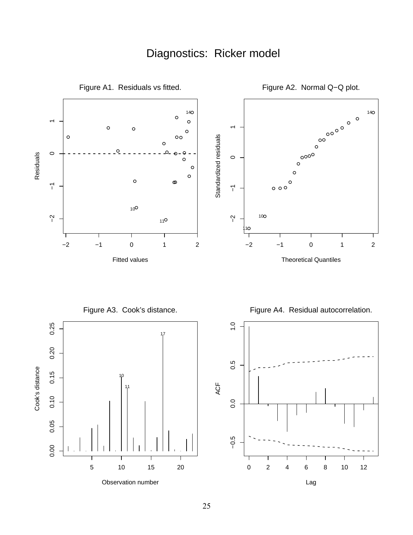## Diagnostics: Ricker model

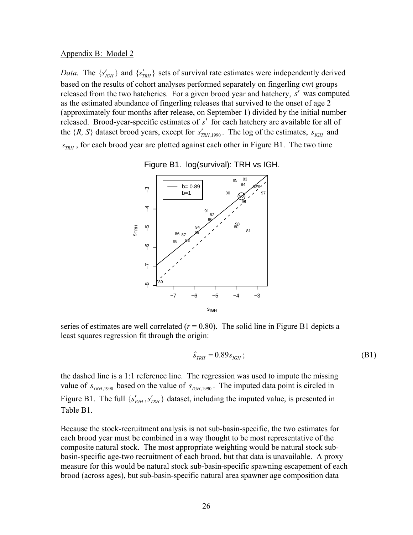#### Appendix B: Model 2

*Data.* The  $\{s'_{IGH}\}\$  and  $\{s'_{TRH}\}\$  sets of survival rate estimates were independently derived based on the results of cohort analyses performed separately on fingerling cwt groups released from the two hatcheries. For a given brood year and hatchery, s' was computed as the estimated abundance of fingerling releases that survived to the onset of age 2 (approximately four months after release, on September 1) divided by the initial number released. Brood-year-specific estimates of *s*′ for each hatchery are available for all of the  $\{R, S\}$  dataset brood years, except for  $s'_{TRH, 1990}$ . The log of the estimates,  $s_{IGH}$  and  $s_{TRH}$ , for each brood year are plotted against each other in Figure B1. The two time



Figure B1. log(survival): TRH vs IGH.

series of estimates are well correlated  $(r = 0.80)$ . The solid line in Figure B1 depicts a least squares regression fit through the origin:

$$
\hat{S}_{TRH} = 0.89 s_{IGH} ; \t\t(B1)
$$

the dashed line is a 1:1 reference line. The regression was used to impute the missing value of  $s_{TRH,1990}$  based on the value of  $s_{IGH,1990}$ . The imputed data point is circled in Figure B1. The full  $\{s'_{IGH}, s'_{TRH}\}\$  dataset, including the imputed value, is presented in Table B1.

Because the stock-recruitment analysis is not sub-basin-specific, the two estimates for each brood year must be combined in a way thought to be most representative of the composite natural stock. The most appropriate weighting would be natural stock subbasin-specific age-two recruitment of each brood, but that data is unavailable. A proxy measure for this would be natural stock sub-basin-specific spawning escapement of each brood (across ages), but sub-basin-specific natural area spawner age composition data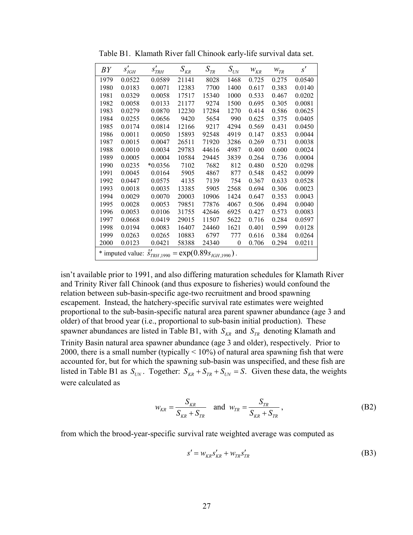| BY   | $s'_{IGH}$ | $s'_{\it TRH}$                                                     | ${\cal S}_{\it KR}$ | ${\cal S}_{\mathit{TR}}$ | $S_{\scriptscriptstyle{UN}}$ | $W_{KR}$ | $W_{TR}$ | s'     |
|------|------------|--------------------------------------------------------------------|---------------------|--------------------------|------------------------------|----------|----------|--------|
| 1979 | 0.0522     | 0.0589                                                             | 21141               | 8028                     | 1468                         | 0.725    | 0.275    | 0.0540 |
| 1980 | 0.0183     | 0.0071                                                             | 12383               | 7700                     | 1400                         | 0.617    | 0.383    | 0.0140 |
| 1981 | 0.0329     | 0.0058                                                             | 17517               | 15340                    | 1000                         | 0.533    | 0.467    | 0.0202 |
| 1982 | 0.0058     | 0.0133                                                             | 21177               | 9274                     | 1500                         | 0.695    | 0.305    | 0.0081 |
| 1983 | 0.0279     | 0.0870                                                             | 12230               | 17284                    | 1270                         | 0.414    | 0.586    | 0.0625 |
| 1984 | 0.0255     | 0.0656                                                             | 9420                | 5654                     | 990                          | 0.625    | 0.375    | 0.0405 |
| 1985 | 0.0174     | 0.0814                                                             | 12166               | 9217                     | 4294                         | 0.569    | 0.431    | 0.0450 |
| 1986 | 0.0011     | 0.0050                                                             | 15893               | 92548                    | 4919                         | 0.147    | 0.853    | 0.0044 |
| 1987 | 0.0015     | 0.0047                                                             | 26511               | 71920                    | 3286                         | 0.269    | 0.731    | 0.0038 |
| 1988 | 0.0010     | 0.0034                                                             | 29783               | 44616                    | 4987                         | 0.400    | 0.600    | 0.0024 |
| 1989 | 0.0005     | 0.0004                                                             | 10584               | 29445                    | 3839                         | 0.264    | 0.736    | 0.0004 |
| 1990 | 0.0235     | $*0.0356$                                                          | 7102                | 7682                     | 812                          | 0.480    | 0.520    | 0.0298 |
| 1991 | 0.0045     | 0.0164                                                             | 5905                | 4867                     | 877                          | 0.548    | 0.452    | 0.0099 |
| 1992 | 0.0447     | 0.0575                                                             | 4135                | 7139                     | 754                          | 0.367    | 0.633    | 0.0528 |
| 1993 | 0.0018     | 0.0035                                                             | 13385               | 5905                     | 2568                         | 0.694    | 0.306    | 0.0023 |
| 1994 | 0.0029     | 0.0070                                                             | 20003               | 10906                    | 1424                         | 0.647    | 0.353    | 0.0043 |
| 1995 | 0.0028     | 0.0053                                                             | 79851               | 77876                    | 4067                         | 0.506    | 0.494    | 0.0040 |
| 1996 | 0.0053     | 0.0106                                                             | 31755               | 42646                    | 6925                         | 0.427    | 0.573    | 0.0083 |
| 1997 | 0.0668     | 0.0419                                                             | 29015               | 11507                    | 5622                         | 0.716    | 0.284    | 0.0597 |
| 1998 | 0.0194     | 0.0083                                                             | 16407               | 24460                    | 1621                         | 0.401    | 0.599    | 0.0128 |
| 1999 | 0.0263     | 0.0265                                                             | 10883               | 6797                     | 777                          | 0.616    | 0.384    | 0.0264 |
| 2000 | 0.0123     | 0.0421                                                             | 58388               | 24340                    | $\theta$                     | 0.706    | 0.294    | 0.0211 |
|      |            | * imputed value: $\hat{s}'_{TRH,1990} = \exp(0.89 s_{IGH,1990})$ . |                     |                          |                              |          |          |        |

Table B1. Klamath River fall Chinook early-life survival data set.

isn't available prior to 1991, and also differing maturation schedules for Klamath River and Trinity River fall Chinook (and thus exposure to fisheries) would confound the relation between sub-basin-specific age-two recruitment and brood spawning escapement. Instead, the hatchery-specific survival rate estimates were weighted proportional to the sub-basin-specific natural area parent spawner abundance (age 3 and older) of that brood year (i.e., proportional to sub-basin initial production). These spawner abundances are listed in Table B1, with  $S_{KR}$  and  $S_{TR}$  denoting Klamath and listed in Table B1 as  $S_{UN}$ . Together:  $S_{KR} + S_{TR} + S_{UN} = S$ . Given these data, the weights Trinity Basin natural area spawner abundance (age 3 and older), respectively. Prior to 2000, there is a small number (typically  $\leq 10\%$ ) of natural area spawning fish that were accounted for, but for which the spawning sub-basin was unspecified, and these fish are were calculated as

$$
w_{KR} = \frac{S_{KR}}{S_{KR} + S_{TR}} \text{ and } w_{TR} = \frac{S_{TR}}{S_{KR} + S_{TR}},
$$
 (B2)

from which the brood-year-specific survival rate weighted average was computed as

$$
s' = w_{KR} s'_{KR} + w_{TR} s'_{TR}
$$
\n(B3)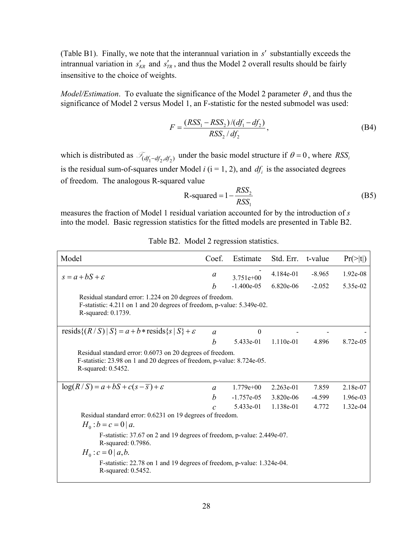(Table B1). Finally, we note that the interannual variation in *s*′ substantially exceeds the intrannual variation in  $s'_{KR}$  and  $s'_{TR}$ , and thus the Model 2 overall results should be fairly insensitive to the choice of weights.

*Model/Estimation*. To evaluate the significance of the Model 2 parameter  $\theta$ , and thus the significance of Model 2 versus Model 1, an F-statistic for the nested submodel was used:

$$
F = \frac{(RSS_1 - RSS_2)/(df_1 - df_2)}{RSS_2 / df_2},
$$
\n(B4)

which is distributed as  $\mathcal{F}_{(df_1 - df_2, df_2)}$  under the basic model structure if  $\theta = 0$ , where  $RSS_i$ is the residual sum-of-squares under Model  $i$  ( $i = 1, 2$ ), and  $df_i$  is the associated degrees of freedom. The analogous R-squared value

$$
R-squared = 1 - \frac{RSS_2}{RSS_1}
$$
 (B5)

measures the fraction of Model 1 residual variation accounted for by the introduction of *s* into the model. Basic regression statistics for the fitted models are presented in Table B2.

| Model                                                                                                                                                     | Coef.            | Estimate         | Std. Err.   | t-value  | $Pr(>\vert t \vert)$ |
|-----------------------------------------------------------------------------------------------------------------------------------------------------------|------------------|------------------|-------------|----------|----------------------|
| $s = a + bS + \varepsilon$                                                                                                                                | a                | $3.751e+00$      | 4.184e-01   | $-8.965$ | $1.92e-08$           |
|                                                                                                                                                           | h                | $-1.400e-0.5$    | $6.820e-06$ | $-2.052$ | 5.35e-02             |
| Residual standard error: 1.224 on 20 degrees of freedom.<br>F-statistic: 4.211 on 1 and 20 degrees of freedom, p-value: 5.349e-02.<br>R-squared: 0.1739.  |                  |                  |             |          |                      |
| resids $\{(R/S)   S\} = a + b * \text{resids}\{s   S\} + \varepsilon$                                                                                     | $\alpha$         | $\boldsymbol{0}$ |             |          |                      |
|                                                                                                                                                           | h                | 5.433e-01        | $1.110e-01$ | 4.896    | 8.72e-05             |
| Residual standard error: 0.6073 on 20 degrees of freedom.<br>F-statistic: 23.98 on 1 and 20 degrees of freedom, p-value: 8.724e-05.<br>R-squared: 0.5452. |                  |                  |             |          |                      |
| $\log(R/S) = a + bS + c(s - \overline{s}) + \varepsilon$                                                                                                  | $\alpha$         | $1.779e+00$      | $2.263e-01$ | 7.859    | 2.18e-07             |
|                                                                                                                                                           | $\boldsymbol{b}$ | $-1.757e-05$     | 3.820e-06   | $-4.599$ | $1.96e-03$           |
|                                                                                                                                                           | $\mathcal{C}$    | 5.433e-01        | 1.138e-01   | 4.772    | $1.32e-04$           |
| Residual standard error: 0.6231 on 19 degrees of freedom.<br>$H_0 : b = c = 0   a.$                                                                       |                  |                  |             |          |                      |
| F-statistic: 37.67 on 2 and 19 degrees of freedom, p-value: 2.449e-07.<br>R-squared: 0.7986.                                                              |                  |                  |             |          |                      |
| $H_0$ : $c = 0   a,b.$                                                                                                                                    |                  |                  |             |          |                      |
| F-statistic: 22.78 on 1 and 19 degrees of freedom, p-value: 1.324e-04.<br>R-squared: 0.5452.                                                              |                  |                  |             |          |                      |

Table B2. Model 2 regression statistics.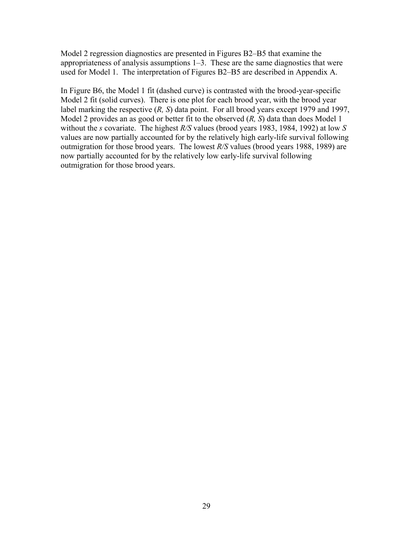Model 2 regression diagnostics are presented in Figures B2–B5 that examine the appropriateness of analysis assumptions 1–3. These are the same diagnostics that were used for Model 1. The interpretation of Figures B2–B5 are described in Appendix A.

In Figure B6, the Model 1 fit (dashed curve) is contrasted with the brood-year-specific Model 2 fit (solid curves). There is one plot for each brood year, with the brood year label marking the respective (*R, S*) data point. For all brood years except 1979 and 1997, Model 2 provides an as good or better fit to the observed (*R, S*) data than does Model 1 without the *s* covariate. The highest *R/S* values (brood years 1983, 1984, 1992) at low *S* values are now partially accounted for by the relatively high early-life survival following outmigration for those brood years. The lowest *R/S* values (brood years 1988, 1989) are now partially accounted for by the relatively low early-life survival following outmigration for those brood years.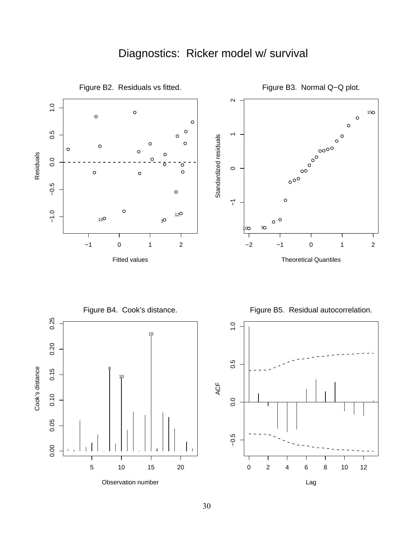## Diagnostics: Ricker model w/ survival